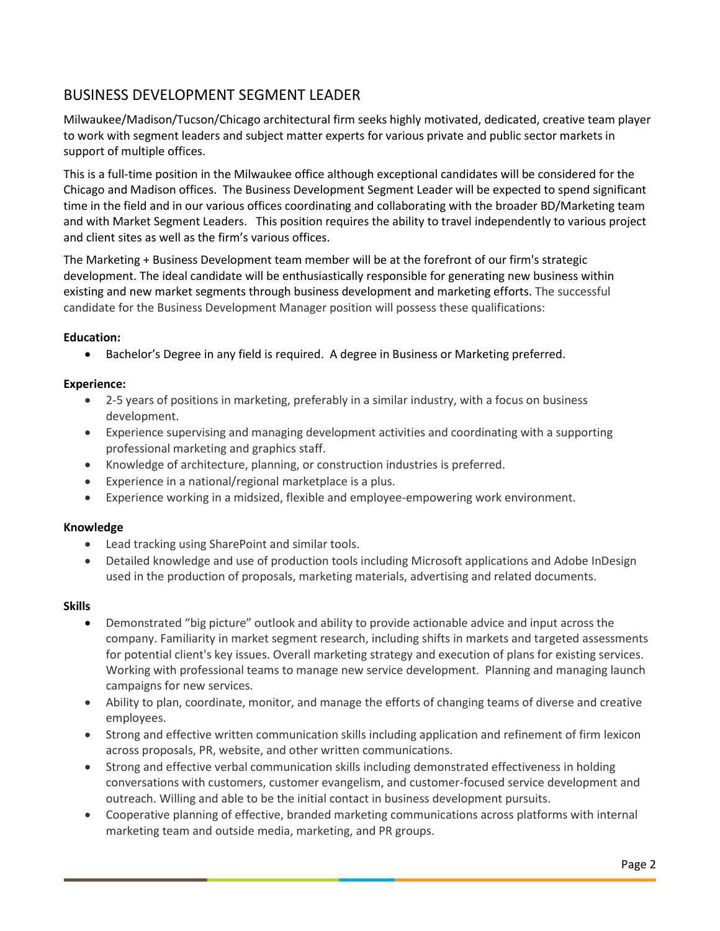# BUSINESS DEVELOPMENT SEGMENT LEADER

Milwaukee/Madison/Tucson/Chicago architectural firm seeks highly motivated, dedicated, creative team player to work with segment leaders and subject matter experts for various private and public sector markets in support of multiple offices.

This is a full-time position in the Milwaukee office although exceptional candidates will be considered for the Chicago and Madison offices. The Business Development Segment Leader will be expected to spend significant time in the field and in our various offices coordinating and collaborating with the broader BD/Marketing team and with Market Segment Leaders. This position requires the ability to travel independently to various project and client sites as well as the firm's various offices.

The Marketing + Business Development team member will be at the forefront of our firm's strategic development. The ideal candidate will be enthusiastically responsible for generating new business within existing and new market segments through business development and marketing efforts. The successful candidate for the Business Development Manager position will possess these qualifications:

### **Education:**

• Bachelor's Degree in any field is required. A degree in Business or Marketing preferred.

#### **Experience:**

- 2-5 years of positions in marketing, preferably in a similar industry, with a focus on business development.
- Experience supervising and managing development activities and coordinating with a supporting professional marketing and graphics staff.
- Knowledge of architecture, planning, or construction industries is preferred.
- Experience in a national/regional marketplace is a plus.
- Experience working in a midsized, flexible and employee-empowering work environment.

#### **Knowledge**

- Lead tracking using SharePoint and similar tools.
- Detailed knowledge and use of production tools including Microsoft applications and Adobe InDesign used in the production of proposals, marketing materials, advertising and related documents.

#### **Skills**

- Demonstrated "big picture" outlook and ability to provide actionable advice and input across the company. Familiarity in market segment research, including shifts in markets and targeted assessments for potential client's key issues. Overall marketing strategy and execution of plans for existing services. Working with professional teams to manage new service development. Planning and managing launch campaigns for new services.
- Ability to plan, coordinate, monitor, and manage the efforts of changing teams of diverse and creative employees.
- Strong and effective written communication skills including application and refinement of firm lexicon across proposals, PR, website, and other written communications.
- Strong and effective verbal communication skills including demonstrated effectiveness in holding conversations with customers, customer evangelism, and customer-focused service development and outreach. Willing and able to be the initial contact in business development pursuits.
- Cooperative planning of effective, branded marketing communications across platforms with internal marketing team and outside media, marketing, and PR groups.